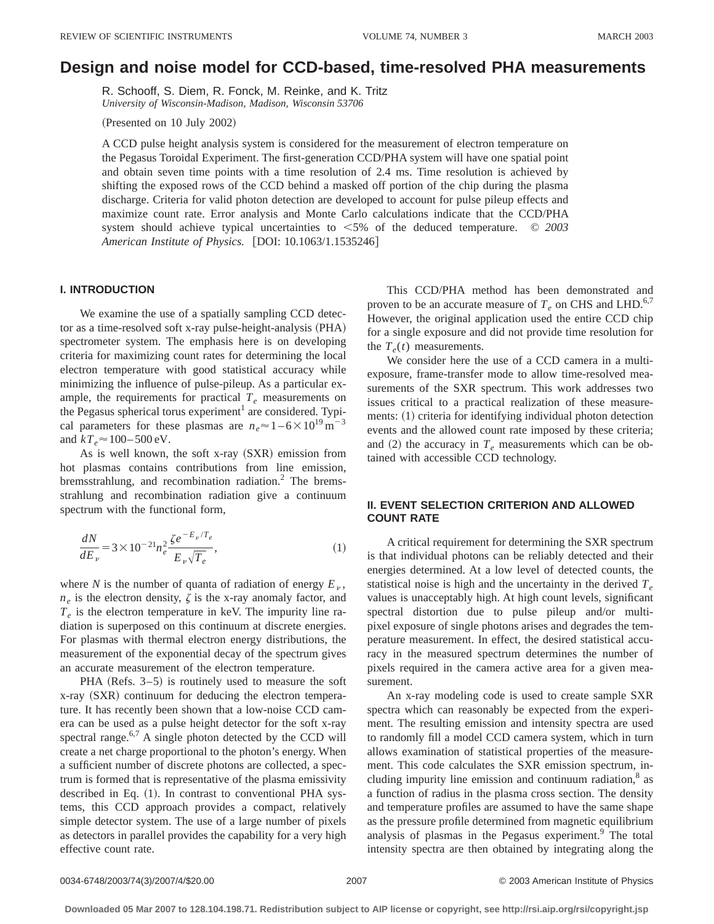# **Design and noise model for CCD-based, time-resolved PHA measurements**

R. Schooff, S. Diem, R. Fonck, M. Reinke, and K. Tritz *University of Wisconsin-Madison, Madison, Wisconsin 53706*

(Presented on 10 July 2002)

A CCD pulse height analysis system is considered for the measurement of electron temperature on the Pegasus Toroidal Experiment. The first-generation CCD/PHA system will have one spatial point and obtain seven time points with a time resolution of 2.4 ms. Time resolution is achieved by shifting the exposed rows of the CCD behind a masked off portion of the chip during the plasma discharge. Criteria for valid photon detection are developed to account for pulse pileup effects and maximize count rate. Error analysis and Monte Carlo calculations indicate that the CCD/PHA system should achieve typical uncertainties to  $\leq 5\%$  of the deduced temperature.  $\circ$  2003 *American Institute of Physics.* [DOI: 10.1063/1.1535246]

## **I. INTRODUCTION**

We examine the use of a spatially sampling CCD detector as a time-resolved soft x-ray pulse-height-analysis  $(PHA)$ spectrometer system. The emphasis here is on developing criteria for maximizing count rates for determining the local electron temperature with good statistical accuracy while minimizing the influence of pulse-pileup. As a particular example, the requirements for practical  $T_e$  measurements on the Pegasus spherical torus experiment<sup>1</sup> are considered. Typical parameters for these plasmas are  $n_e \approx 1-6 \times 10^{19} \text{ m}^{-3}$ and  $kT_e \approx 100 - 500 \text{ eV}$ .

As is well known, the soft x-ray  $(SXR)$  emission from hot plasmas contains contributions from line emission, bremsstrahlung, and recombination radiation.<sup>2</sup> The bremsstrahlung and recombination radiation give a continuum spectrum with the functional form,

$$
\frac{dN}{dE_{\nu}} = 3 \times 10^{-21} n_e^2 \frac{\zeta e^{-E_{\nu}/T_e}}{E_{\nu} \sqrt{T_e}},\tag{1}
$$

where *N* is the number of quanta of radiation of energy  $E<sub>v</sub>$ ,  $n_e$  is the electron density,  $\zeta$  is the x-ray anomaly factor, and  $T_e$  is the electron temperature in keV. The impurity line radiation is superposed on this continuum at discrete energies. For plasmas with thermal electron energy distributions, the measurement of the exponential decay of the spectrum gives an accurate measurement of the electron temperature.

PHA (Refs.  $3-5$ ) is routinely used to measure the soft  $x$ -ray  $(SXR)$  continuum for deducing the electron temperature. It has recently been shown that a low-noise CCD camera can be used as a pulse height detector for the soft x-ray spectral range. $6,7$  A single photon detected by the CCD will create a net charge proportional to the photon's energy. When a sufficient number of discrete photons are collected, a spectrum is formed that is representative of the plasma emissivity described in Eq.  $(1)$ . In contrast to conventional PHA systems, this CCD approach provides a compact, relatively simple detector system. The use of a large number of pixels as detectors in parallel provides the capability for a very high effective count rate.

This CCD/PHA method has been demonstrated and proven to be an accurate measure of  $T_e$  on CHS and LHD.<sup>6,7</sup> However, the original application used the entire CCD chip for a single exposure and did not provide time resolution for the  $T_e(t)$  measurements.

We consider here the use of a CCD camera in a multiexposure, frame-transfer mode to allow time-resolved measurements of the SXR spectrum. This work addresses two issues critical to a practical realization of these measurements: (1) criteria for identifying individual photon detection events and the allowed count rate imposed by these criteria; and  $(2)$  the accuracy in  $T_e$  measurements which can be obtained with accessible CCD technology.

# **II. EVENT SELECTION CRITERION AND ALLOWED COUNT RATE**

A critical requirement for determining the SXR spectrum is that individual photons can be reliably detected and their energies determined. At a low level of detected counts, the statistical noise is high and the uncertainty in the derived  $T_e$ values is unacceptably high. At high count levels, significant spectral distortion due to pulse pileup and/or multipixel exposure of single photons arises and degrades the temperature measurement. In effect, the desired statistical accuracy in the measured spectrum determines the number of pixels required in the camera active area for a given measurement.

An x-ray modeling code is used to create sample SXR spectra which can reasonably be expected from the experiment. The resulting emission and intensity spectra are used to randomly fill a model CCD camera system, which in turn allows examination of statistical properties of the measurement. This code calculates the SXR emission spectrum, including impurity line emission and continuum radiation, $\delta$  as a function of radius in the plasma cross section. The density and temperature profiles are assumed to have the same shape as the pressure profile determined from magnetic equilibrium analysis of plasmas in the Pegasus experiment.<sup>9</sup> The total intensity spectra are then obtained by integrating along the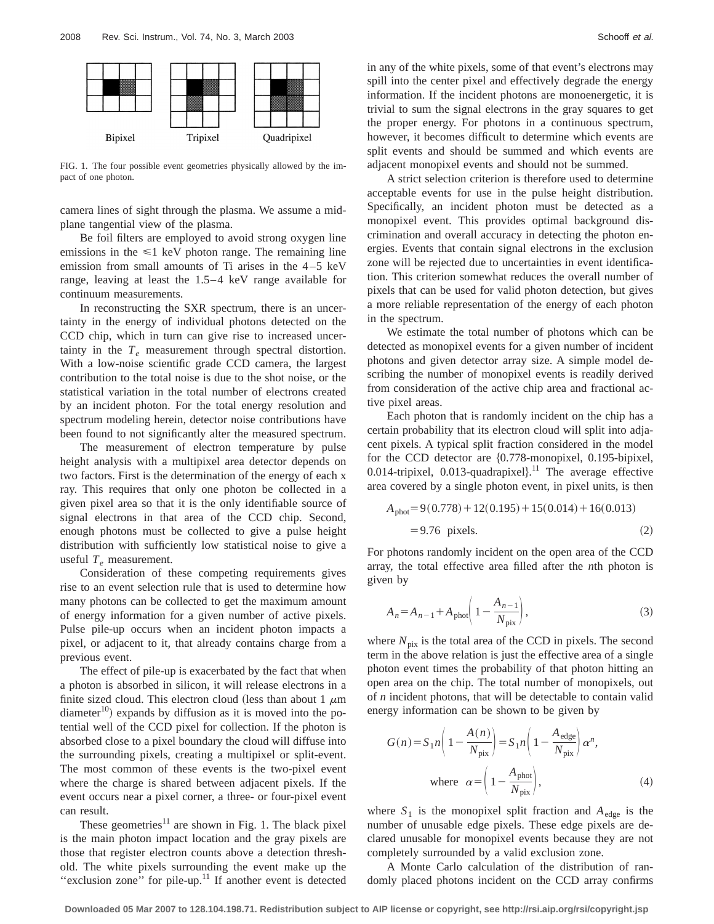FIG. 1. The four possible event geometries physically allowed by the impact of one photon.

camera lines of sight through the plasma. We assume a midplane tangential view of the plasma.

Be foil filters are employed to avoid strong oxygen line emissions in the  $\leq 1$  keV photon range. The remaining line emission from small amounts of Ti arises in the 4–5 keV range, leaving at least the 1.5–4 keV range available for continuum measurements.

In reconstructing the SXR spectrum, there is an uncertainty in the energy of individual photons detected on the CCD chip, which in turn can give rise to increased uncertainty in the  $T_e$  measurement through spectral distortion. With a low-noise scientific grade CCD camera, the largest contribution to the total noise is due to the shot noise, or the statistical variation in the total number of electrons created by an incident photon. For the total energy resolution and spectrum modeling herein, detector noise contributions have been found to not significantly alter the measured spectrum.

The measurement of electron temperature by pulse height analysis with a multipixel area detector depends on two factors. First is the determination of the energy of each x ray. This requires that only one photon be collected in a given pixel area so that it is the only identifiable source of signal electrons in that area of the CCD chip. Second, enough photons must be collected to give a pulse height distribution with sufficiently low statistical noise to give a useful  $T_e$  measurement.

Consideration of these competing requirements gives rise to an event selection rule that is used to determine how many photons can be collected to get the maximum amount of energy information for a given number of active pixels. Pulse pile-up occurs when an incident photon impacts a pixel, or adjacent to it, that already contains charge from a previous event.

The effect of pile-up is exacerbated by the fact that when a photon is absorbed in silicon, it will release electrons in a finite sized cloud. This electron cloud (less than about 1  $\mu$ m diameter<sup>10</sup>) expands by diffusion as it is moved into the potential well of the CCD pixel for collection. If the photon is absorbed close to a pixel boundary the cloud will diffuse into the surrounding pixels, creating a multipixel or split-event. The most common of these events is the two-pixel event where the charge is shared between adjacent pixels. If the event occurs near a pixel corner, a three- or four-pixel event can result.

These geometries<sup>11</sup> are shown in Fig. 1. The black pixel is the main photon impact location and the gray pixels are those that register electron counts above a detection threshold. The white pixels surrounding the event make up the "exclusion zone" for pile-up.<sup>11</sup> If another event is detected in any of the white pixels, some of that event's electrons may spill into the center pixel and effectively degrade the energy information. If the incident photons are monoenergetic, it is trivial to sum the signal electrons in the gray squares to get the proper energy. For photons in a continuous spectrum, however, it becomes difficult to determine which events are split events and should be summed and which events are adjacent monopixel events and should not be summed.

A strict selection criterion is therefore used to determine acceptable events for use in the pulse height distribution. Specifically, an incident photon must be detected as a monopixel event. This provides optimal background discrimination and overall accuracy in detecting the photon energies. Events that contain signal electrons in the exclusion zone will be rejected due to uncertainties in event identification. This criterion somewhat reduces the overall number of pixels that can be used for valid photon detection, but gives a more reliable representation of the energy of each photon in the spectrum.

We estimate the total number of photons which can be detected as monopixel events for a given number of incident photons and given detector array size. A simple model describing the number of monopixel events is readily derived from consideration of the active chip area and fractional active pixel areas.

Each photon that is randomly incident on the chip has a certain probability that its electron cloud will split into adjacent pixels. A typical split fraction considered in the model for the CCD detector are  ${0.778}$ -monopixel, 0.195-bipixel, 0.014-tripixel, 0.013-quadrapixel $\}$ .<sup>11</sup> The average effective area covered by a single photon event, in pixel units, is then

$$
Aphot = 9(0.778) + 12(0.195) + 15(0.014) + 16(0.013)
$$
  
= 9.76 pixels. (2)

For photons randomly incident on the open area of the CCD array, the total effective area filled after the *n*th photon is given by

$$
A_n = A_{n-1} + A_{\text{phot}} \left( 1 - \frac{A_{n-1}}{N_{\text{pix}}} \right),
$$
 (3)

where  $N_{pix}$  is the total area of the CCD in pixels. The second term in the above relation is just the effective area of a single photon event times the probability of that photon hitting an open area on the chip. The total number of monopixels, out of *n* incident photons, that will be detectable to contain valid energy information can be shown to be given by

$$
G(n) = S_1 n \left( 1 - \frac{A(n)}{N_{\text{pix}}} \right) = S_1 n \left( 1 - \frac{A_{\text{edge}}}{N_{\text{pix}}} \right) \alpha^n,
$$
  
where  $\alpha = \left( 1 - \frac{A_{\text{phot}}}{N_{\text{pix}}} \right),$  (4)

where  $S_1$  is the monopixel split fraction and  $A_{\text{edge}}$  is the number of unusable edge pixels. These edge pixels are declared unusable for monopixel events because they are not completely surrounded by a valid exclusion zone.

A Monte Carlo calculation of the distribution of randomly placed photons incident on the CCD array confirms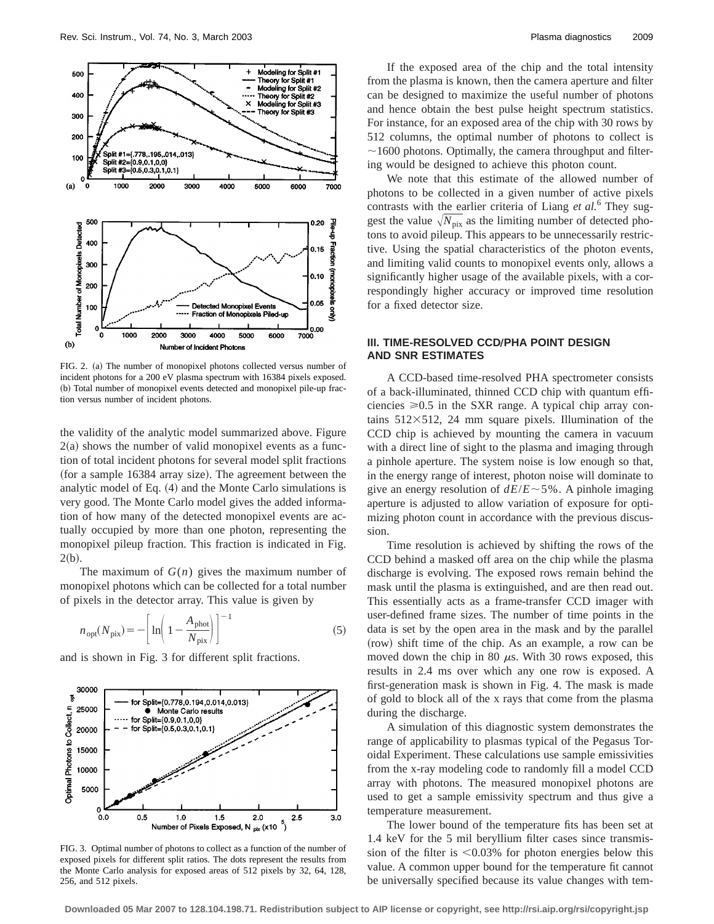

FIG. 2. (a) The number of monopixel photons collected versus number of incident photons for a 200 eV plasma spectrum with 16384 pixels exposed. (b) Total number of monopixel events detected and monopixel pile-up fraction versus number of incident photons.

the validity of the analytic model summarized above. Figure  $2(a)$  shows the number of valid monopixel events as a function of total incident photons for several model split fractions (for a sample 16384 array size). The agreement between the analytic model of Eq.  $(4)$  and the Monte Carlo simulations is very good. The Monte Carlo model gives the added information of how many of the detected monopixel events are actually occupied by more than one photon, representing the monopixel pileup fraction. This fraction is indicated in Fig.  $2(b).$ 

The maximum of *G*(*n*) gives the maximum number of monopixel photons which can be collected for a total number of pixels in the detector array. This value is given by

$$
n_{\rm opt}(N_{\rm pix}) = -\left[\ln\left(1 - \frac{A_{\rm phot}}{N_{\rm pix}}\right)\right]^{-1} \tag{5}
$$

and is shown in Fig. 3 for different split fractions.



FIG. 3. Optimal number of photons to collect as a function of the number of exposed pixels for different split ratios. The dots represent the results from the Monte Carlo analysis for exposed areas of 512 pixels by 32, 64, 128, 256, and 512 pixels.

If the exposed area of the chip and the total intensity from the plasma is known, then the camera aperture and filter can be designed to maximize the useful number of photons and hence obtain the best pulse height spectrum statistics. For instance, for an exposed area of the chip with 30 rows by 512 columns, the optimal number of photons to collect is  $\sim$ 1600 photons. Optimally, the camera throughput and filtering would be designed to achieve this photon count.

We note that this estimate of the allowed number of photons to be collected in a given number of active pixels contrasts with the earlier criteria of Liang *et al.*<sup>6</sup> They suggest the value  $\sqrt{N_{pix}}$  as the limiting number of detected photons to avoid pileup. This appears to be unnecessarily restrictive. Using the spatial characteristics of the photon events, and limiting valid counts to monopixel events only, allows a significantly higher usage of the available pixels, with a correspondingly higher accuracy or improved time resolution for a fixed detector size.

## **III. TIME-RESOLVED CCD/PHA POINT DESIGN AND SNR ESTIMATES**

A CCD-based time-resolved PHA spectrometer consists of a back-illuminated, thinned CCD chip with quantum efficiencies  $\geq 0.5$  in the SXR range. A typical chip array contains  $512\times512$ , 24 mm square pixels. Illumination of the CCD chip is achieved by mounting the camera in vacuum with a direct line of sight to the plasma and imaging through a pinhole aperture. The system noise is low enough so that, in the energy range of interest, photon noise will dominate to give an energy resolution of  $dE/E \sim 5\%$ . A pinhole imaging aperture is adjusted to allow variation of exposure for optimizing photon count in accordance with the previous discussion.

Time resolution is achieved by shifting the rows of the CCD behind a masked off area on the chip while the plasma discharge is evolving. The exposed rows remain behind the mask until the plasma is extinguished, and are then read out. This essentially acts as a frame-transfer CCD imager with user-defined frame sizes. The number of time points in the data is set by the open area in the mask and by the parallel (row) shift time of the chip. As an example, a row can be moved down the chip in 80  $\mu$ s. With 30 rows exposed, this results in 2.4 ms over which any one row is exposed. A first-generation mask is shown in Fig. 4. The mask is made of gold to block all of the x rays that come from the plasma during the discharge.

A simulation of this diagnostic system demonstrates the range of applicability to plasmas typical of the Pegasus Toroidal Experiment. These calculations use sample emissivities from the x-ray modeling code to randomly fill a model CCD array with photons. The measured monopixel photons are used to get a sample emissivity spectrum and thus give a temperature measurement.

The lower bound of the temperature fits has been set at 1.4 keV for the 5 mil beryllium filter cases since transmission of the filter is  $\leq 0.03\%$  for photon energies below this value. A common upper bound for the temperature fit cannot be universally specified because its value changes with tem-

**Downloaded 05 Mar 2007 to 128.104.198.71. Redistribution subject to AIP license or copyright, see http://rsi.aip.org/rsi/copyright.jsp**